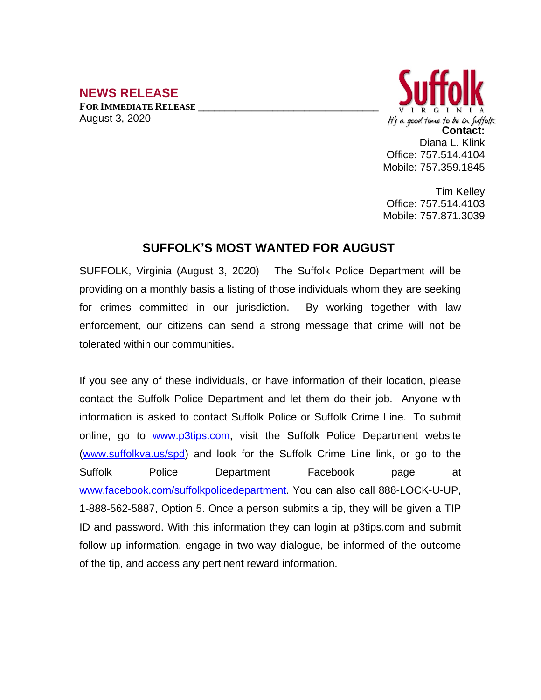## **NEWS RELEASE**

**FOR IMMEDIATE RELEASE \_\_\_\_\_\_\_\_\_\_\_\_\_\_\_\_\_\_\_\_\_\_\_\_\_\_\_\_\_\_\_\_\_\_** August 3, 2020



Tim Kelley Office: 757.514.4103 Mobile: 757.871.3039

## **SUFFOLK'S MOST WANTED FOR AUGUST**

SUFFOLK, Virginia (August 3, 2020) The Suffolk Police Department will be providing on a monthly basis a listing of those individuals whom they are seeking for crimes committed in our jurisdiction. By working together with law enforcement, our citizens can send a strong message that crime will not be tolerated within our communities.

If you see any of these individuals, or have information of their location, please contact the Suffolk Police Department and let them do their job. Anyone with information is asked to contact Suffolk Police or Suffolk Crime Line. To submit online, go to [www.p3tips.com](http://www.p3tips.com), visit the Suffolk Police Department website ([www.suffolkva.us/spd](http://www.suffolkva.us/spd)) and look for the Suffolk Crime Line link, or go to the Suffolk Police Department Facebook page at [www.facebook.com/suffolkpolicedepartment](http://www.facebook.com/suffolkpolicedepartment). You can also call 888-LOCK-U-UP, 1-888-562-5887, Option 5. Once a person submits a tip, they will be given a TIP ID and password. With this information they can login at p3tips.com and submit follow-up information, engage in two-way dialogue, be informed of the outcome of the tip, and access any pertinent reward information.